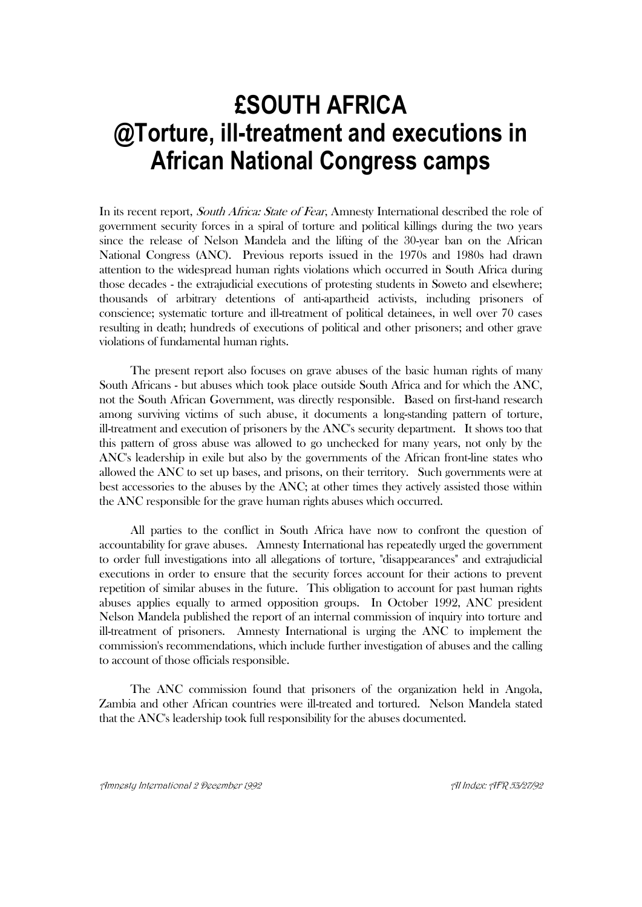# **£SOUTH AFRICA @Torture, ill-treatment and executions in African National Congress camps**

In its recent report, *South Africa: State of Fear*, Amnesty International described the role of government security forces in a spiral of torture and political killings during the two years since the release of Nelson Mandela and the lifting of the 30-year ban on the African National Congress (ANC). Previous reports issued in the 1970s and 1980s had drawn attention to the widespread human rights violations which occurred in South Africa during those decades - the extrajudicial executions of protesting students in Soweto and elsewhere; thousands of arbitrary detentions of anti-apartheid activists, including prisoners of conscience; systematic torture and ill-treatment of political detainees, in well over 70 cases resulting in death; hundreds of executions of political and other prisoners; and other grave violations of fundamental human rights.

The present report also focuses on grave abuses of the basic human rights of many South Africans - but abuses which took place outside South Africa and for which the ANC, not the South African Government, was directly responsible. Based on first-hand research among surviving victims of such abuse, it documents a long-standing pattern of torture, ill-treatment and execution of prisoners by the ANC's security department. It shows too that this pattern of gross abuse was allowed to go unchecked for many years, not only by the ANC's leadership in exile but also by the governments of the African front-line states who allowed the ANC to set up bases, and prisons, on their territory. Such governments were at best accessories to the abuses by the ANC; at other times they actively assisted those within the ANC responsible for the grave human rights abuses which occurred.

All parties to the conflict in South Africa have now to confront the question of accountability for grave abuses. Amnesty International has repeatedly urged the government to order full investigations into all allegations of torture, "disappearances" and extrajudicial executions in order to ensure that the security forces account for their actions to prevent repetition of similar abuses in the future. This obligation to account for past human rights abuses applies equally to armed opposition groups. In October 1992, ANC president Nelson Mandela published the report of an internal commission of inquiry into torture and ill-treatment of prisoners. Amnesty International is urging the ANC to implement the commission's recommendations, which include further investigation of abuses and the calling to account of those officials responsible.

The ANC commission found that prisoners of the organization held in Angola, Zambia and other African countries were ill-treated and tortured. Nelson Mandela stated that the ANC's leadership took full responsibility for the abuses documented.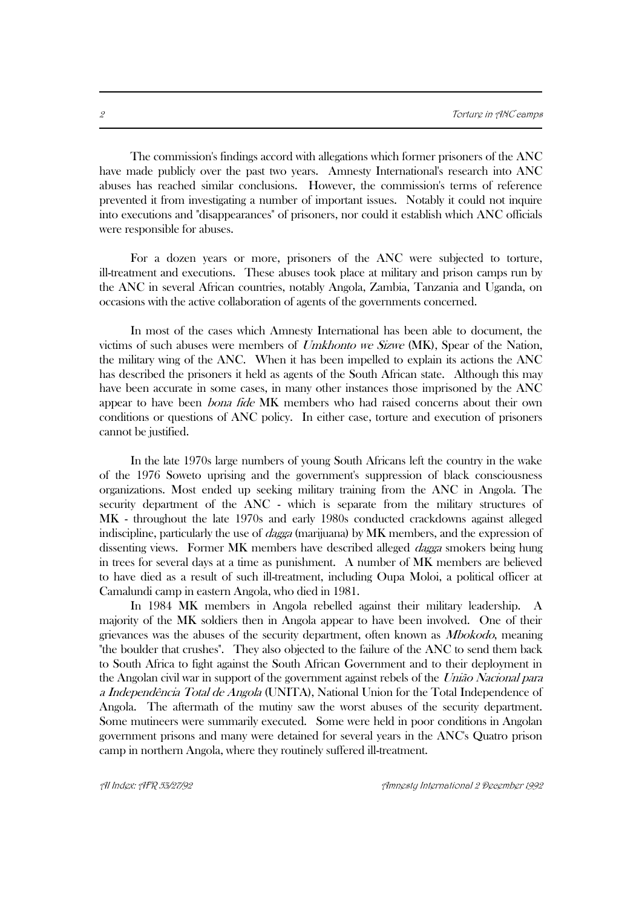The commission's findings accord with allegations which former prisoners of the ANC have made publicly over the past two years. Amnesty International's research into ANC abuses has reached similar conclusions. However, the commission's terms of reference prevented it from investigating a number of important issues. Notably it could not inquire into executions and "disappearances" of prisoners, nor could it establish which ANC officials were responsible for abuses.

For a dozen years or more, prisoners of the ANC were subjected to torture, ill-treatment and executions. These abuses took place at military and prison camps run by the ANC in several African countries, notably Angola, Zambia, Tanzania and Uganda, on occasions with the active collaboration of agents of the governments concerned.

In most of the cases which Amnesty International has been able to document, the victims of such abuses were members of Umkhonto we Sizwe (MK), Spear of the Nation, the military wing of the ANC. When it has been impelled to explain its actions the ANC has described the prisoners it held as agents of the South African state. Although this may have been accurate in some cases, in many other instances those imprisoned by the ANC appear to have been bona fide MK members who had raised concerns about their own conditions or questions of ANC policy. In either case, torture and execution of prisoners cannot be justified.

In the late 1970s large numbers of young South Africans left the country in the wake of the 1976 Soweto uprising and the government's suppression of black consciousness organizations. Most ended up seeking military training from the ANC in Angola. The security department of the ANC - which is separate from the military structures of MK - throughout the late 1970s and early 1980s conducted crackdowns against alleged indiscipline, particularly the use of dagga (marijuana) by MK members, and the expression of dissenting views. Former MK members have described alleged dagga smokers being hung in trees for several days at a time as punishment. A number of MK members are believed to have died as a result of such ill-treatment, including Oupa Moloi, a political officer at Camalundi camp in eastern Angola, who died in 1981.

 In 1984 MK members in Angola rebelled against their military leadership. A majority of the MK soldiers then in Angola appear to have been involved. One of their grievances was the abuses of the security department, often known as Mbokodo, meaning "the boulder that crushes". They also objected to the failure of the ANC to send them back to South Africa to fight against the South African Government and to their deployment in the Angolan civil war in support of the government against rebels of the União Nacional para a Independência Total de Angola (UNITA), National Union for the Total Independence of Angola. The aftermath of the mutiny saw the worst abuses of the security department. Some mutineers were summarily executed. Some were held in poor conditions in Angolan government prisons and many were detained for several years in the ANC's Quatro prison camp in northern Angola, where they routinely suffered ill-treatment.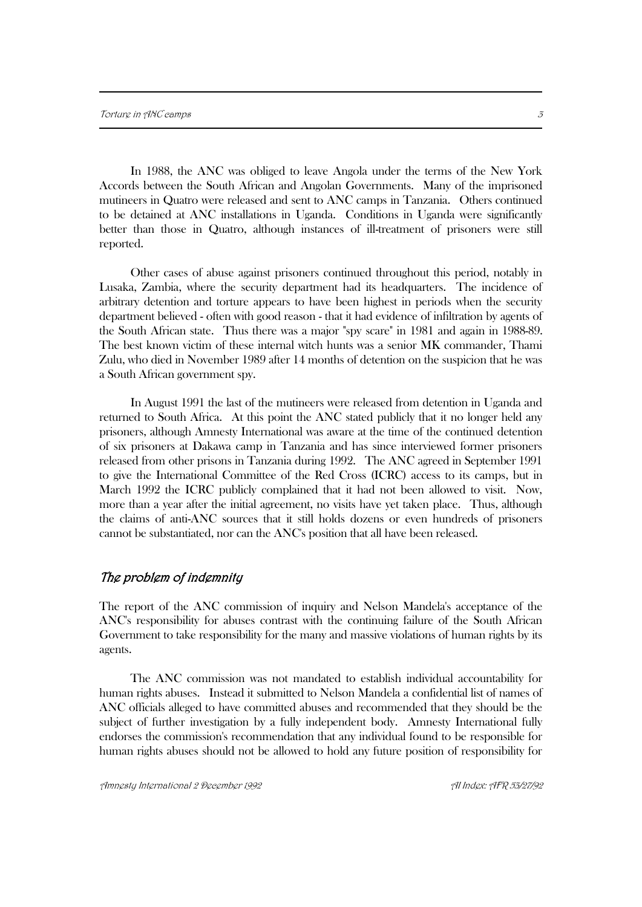In 1988, the ANC was obliged to leave Angola under the terms of the New York Accords between the South African and Angolan Governments. Many of the imprisoned mutineers in Quatro were released and sent to ANC camps in Tanzania. Others continued to be detained at ANC installations in Uganda. Conditions in Uganda were significantly better than those in Quatro, although instances of ill-treatment of prisoners were still reported.

Other cases of abuse against prisoners continued throughout this period, notably in Lusaka, Zambia, where the security department had its headquarters. The incidence of arbitrary detention and torture appears to have been highest in periods when the security department believed - often with good reason - that it had evidence of infiltration by agents of the South African state. Thus there was a major "spy scare" in 1981 and again in 1988-89. The best known victim of these internal witch hunts was a senior MK commander, Thami Zulu, who died in November 1989 after 14 months of detention on the suspicion that he was a South African government spy.

In August 1991 the last of the mutineers were released from detention in Uganda and returned to South Africa. At this point the ANC stated publicly that it no longer held any prisoners, although Amnesty International was aware at the time of the continued detention of six prisoners at Dakawa camp in Tanzania and has since interviewed former prisoners released from other prisons in Tanzania during 1992. The ANC agreed in September 1991 to give the International Committee of the Red Cross (ICRC) access to its camps, but in March 1992 the ICRC publicly complained that it had not been allowed to visit. Now, more than a year after the initial agreement, no visits have yet taken place. Thus, although the claims of anti-ANC sources that it still holds dozens or even hundreds of prisoners cannot be substantiated, nor can the ANC's position that all have been released.

## The problem of indemnity

The report of the ANC commission of inquiry and Nelson Mandela's acceptance of the ANC's responsibility for abuses contrast with the continuing failure of the South African Government to take responsibility for the many and massive violations of human rights by its agents.

The ANC commission was not mandated to establish individual accountability for human rights abuses. Instead it submitted to Nelson Mandela a confidential list of names of ANC officials alleged to have committed abuses and recommended that they should be the subject of further investigation by a fully independent body. Amnesty International fully endorses the commission's recommendation that any individual found to be responsible for human rights abuses should not be allowed to hold any future position of responsibility for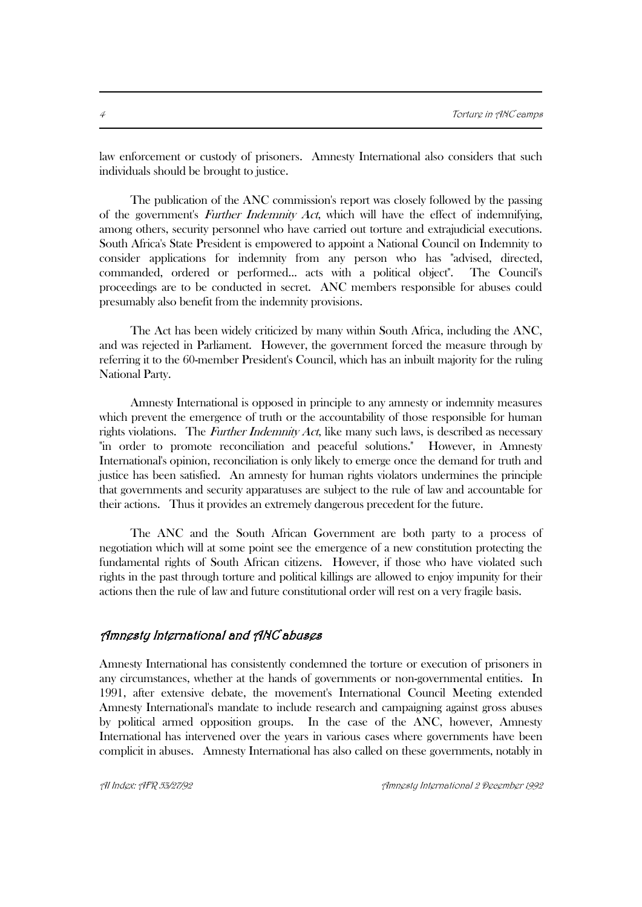law enforcement or custody of prisoners. Amnesty International also considers that such individuals should be brought to justice.

The publication of the ANC commission's report was closely followed by the passing of the government's *Further Indemnity Act*, which will have the effect of indemnifying, among others, security personnel who have carried out torture and extrajudicial executions. South Africa's State President is empowered to appoint a National Council on Indemnity to consider applications for indemnity from any person who has "advised, directed, commanded, ordered or performed... acts with a political object". The Council's proceedings are to be conducted in secret. ANC members responsible for abuses could presumably also benefit from the indemnity provisions.

The Act has been widely criticized by many within South Africa, including the ANC, and was rejected in Parliament. However, the government forced the measure through by referring it to the 60-member President's Council, which has an inbuilt majority for the ruling National Party.

Amnesty International is opposed in principle to any amnesty or indemnity measures which prevent the emergence of truth or the accountability of those responsible for human rights violations. The *Further Indemnity Act*, like many such laws, is described as necessary "in order to promote reconciliation and peaceful solutions." However, in Amnesty International's opinion, reconciliation is only likely to emerge once the demand for truth and justice has been satisfied. An amnesty for human rights violators undermines the principle that governments and security apparatuses are subject to the rule of law and accountable for their actions. Thus it provides an extremely dangerous precedent for the future.

The ANC and the South African Government are both party to a process of negotiation which will at some point see the emergence of a new constitution protecting the fundamental rights of South African citizens. However, if those who have violated such rights in the past through torture and political killings are allowed to enjoy impunity for their actions then the rule of law and future constitutional order will rest on a very fragile basis.

## Amnesty International and ANC abuses

Amnesty International has consistently condemned the torture or execution of prisoners in any circumstances, whether at the hands of governments or non-governmental entities. In 1991, after extensive debate, the movement's International Council Meeting extended Amnesty International's mandate to include research and campaigning against gross abuses by political armed opposition groups. In the case of the ANC, however, Amnesty International has intervened over the years in various cases where governments have been complicit in abuses. Amnesty International has also called on these governments, notably in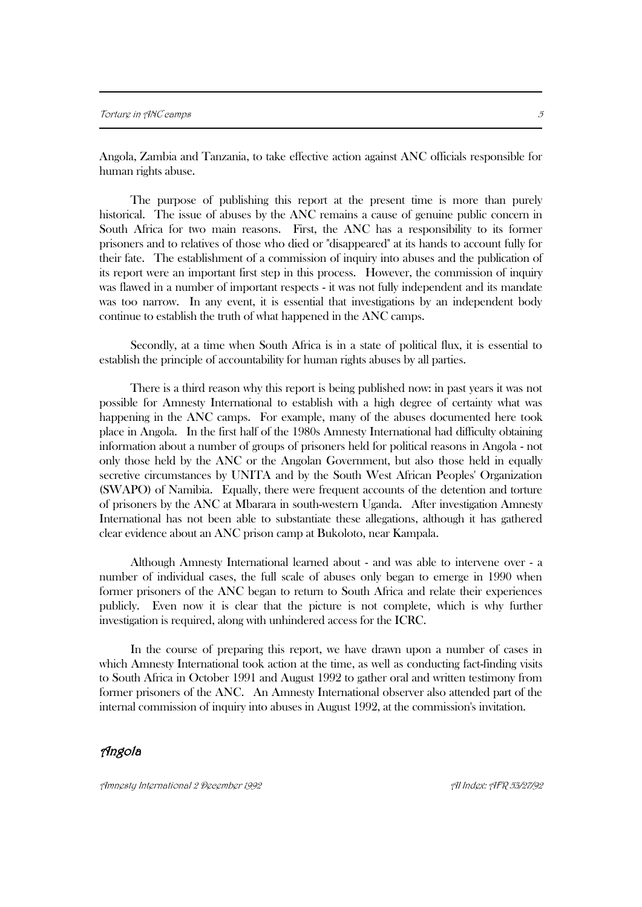Angola, Zambia and Tanzania, to take effective action against ANC officials responsible for human rights abuse.

The purpose of publishing this report at the present time is more than purely historical. The issue of abuses by the ANC remains a cause of genuine public concern in South Africa for two main reasons. First, the ANC has a responsibility to its former prisoners and to relatives of those who died or "disappeared" at its hands to account fully for their fate. The establishment of a commission of inquiry into abuses and the publication of its report were an important first step in this process. However, the commission of inquiry was flawed in a number of important respects - it was not fully independent and its mandate was too narrow. In any event, it is essential that investigations by an independent body continue to establish the truth of what happened in the ANC camps.

Secondly, at a time when South Africa is in a state of political flux, it is essential to establish the principle of accountability for human rights abuses by all parties.

There is a third reason why this report is being published now: in past years it was not possible for Amnesty International to establish with a high degree of certainty what was happening in the ANC camps. For example, many of the abuses documented here took place in Angola. In the first half of the 1980s Amnesty International had difficulty obtaining information about a number of groups of prisoners held for political reasons in Angola - not only those held by the ANC or the Angolan Government, but also those held in equally secretive circumstances by UNITA and by the South West African Peoples' Organization (SWAPO) of Namibia. Equally, there were frequent accounts of the detention and torture of prisoners by the ANC at Mbarara in south-western Uganda. After investigation Amnesty International has not been able to substantiate these allegations, although it has gathered clear evidence about an ANC prison camp at Bukoloto, near Kampala.

Although Amnesty International learned about - and was able to intervene over - a number of individual cases, the full scale of abuses only began to emerge in 1990 when former prisoners of the ANC began to return to South Africa and relate their experiences publicly. Even now it is clear that the picture is not complete, which is why further investigation is required, along with unhindered access for the ICRC.

In the course of preparing this report, we have drawn upon a number of cases in which Amnesty International took action at the time, as well as conducting fact-finding visits to South Africa in October 1991 and August 1992 to gather oral and written testimony from former prisoners of the ANC. An Amnesty International observer also attended part of the internal commission of inquiry into abuses in August 1992, at the commission's invitation.

## Angola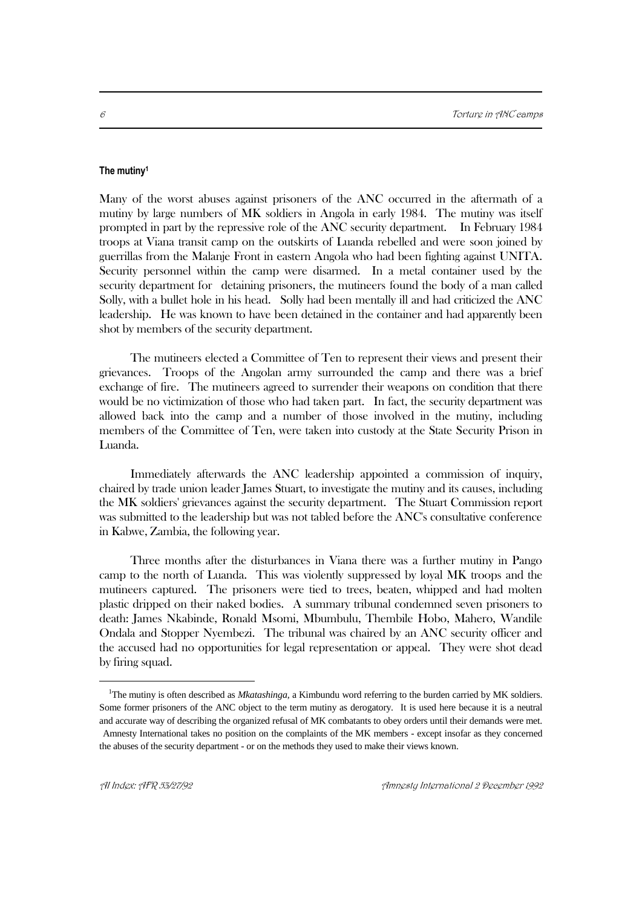#### **The mutiny<sup>1</sup>**

Many of the worst abuses against prisoners of the ANC occurred in the aftermath of a mutiny by large numbers of MK soldiers in Angola in early 1984. The mutiny was itself prompted in part by the repressive role of the ANC security department. In February 1984 troops at Viana transit camp on the outskirts of Luanda rebelled and were soon joined by guerrillas from the Malanje Front in eastern Angola who had been fighting against UNITA. Security personnel within the camp were disarmed. In a metal container used by the security department for detaining prisoners, the mutineers found the body of a man called Solly, with a bullet hole in his head. Solly had been mentally ill and had criticized the ANC leadership. He was known to have been detained in the container and had apparently been shot by members of the security department.

The mutineers elected a Committee of Ten to represent their views and present their grievances. Troops of the Angolan army surrounded the camp and there was a brief exchange of fire. The mutineers agreed to surrender their weapons on condition that there would be no victimization of those who had taken part. In fact, the security department was allowed back into the camp and a number of those involved in the mutiny, including members of the Committee of Ten, were taken into custody at the State Security Prison in Luanda.

Immediately afterwards the ANC leadership appointed a commission of inquiry, chaired by trade union leader James Stuart, to investigate the mutiny and its causes, including the MK soldiers' grievances against the security department. The Stuart Commission report was submitted to the leadership but was not tabled before the ANC's consultative conference in Kabwe, Zambia, the following year.

Three months after the disturbances in Viana there was a further mutiny in Pango camp to the north of Luanda. This was violently suppressed by loyal MK troops and the mutineers captured. The prisoners were tied to trees, beaten, whipped and had molten plastic dripped on their naked bodies. A summary tribunal condemned seven prisoners to death: James Nkabinde, Ronald Msomi, Mbumbulu, Thembile Hobo, Mahero, Wandile Ondala and Stopper Nyembezi. The tribunal was chaired by an ANC security officer and the accused had no opportunities for legal representation or appeal. They were shot dead by firing squad.

 $\overline{a}$ 

<sup>&</sup>lt;sup>1</sup>The mutiny is often described as *Mkatashinga*, a Kimbundu word referring to the burden carried by MK soldiers. Some former prisoners of the ANC object to the term mutiny as derogatory. It is used here because it is a neutral and accurate way of describing the organized refusal of MK combatants to obey orders until their demands were met. Amnesty International takes no position on the complaints of the MK members - except insofar as they concerned the abuses of the security department - or on the methods they used to make their views known.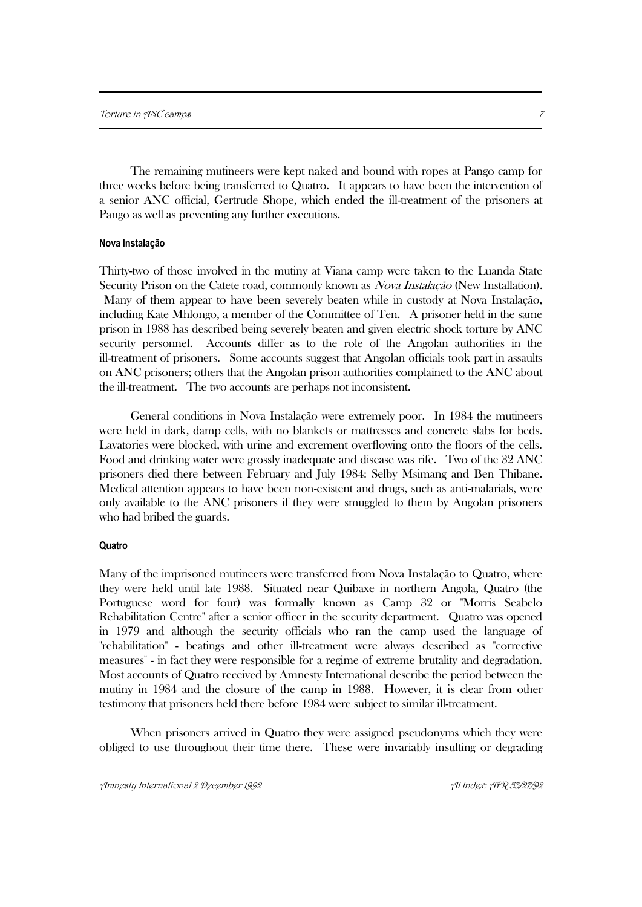The remaining mutineers were kept naked and bound with ropes at Pango camp for three weeks before being transferred to Quatro. It appears to have been the intervention of a senior ANC official, Gertrude Shope, which ended the ill-treatment of the prisoners at Pango as well as preventing any further executions.

#### **Nova Instalação**

Thirty-two of those involved in the mutiny at Viana camp were taken to the Luanda State Security Prison on the Catete road, commonly known as *Nova Instalação* (New Installation). Many of them appear to have been severely beaten while in custody at Nova Instalação, including Kate Mhlongo, a member of the Committee of Ten. A prisoner held in the same prison in 1988 has described being severely beaten and given electric shock torture by ANC security personnel. Accounts differ as to the role of the Angolan authorities in the ill-treatment of prisoners. Some accounts suggest that Angolan officials took part in assaults on ANC prisoners; others that the Angolan prison authorities complained to the ANC about the ill-treatment. The two accounts are perhaps not inconsistent.

General conditions in Nova Instalação were extremely poor. In 1984 the mutineers were held in dark, damp cells, with no blankets or mattresses and concrete slabs for beds. Lavatories were blocked, with urine and excrement overflowing onto the floors of the cells. Food and drinking water were grossly inadequate and disease was rife. Two of the 32 ANC prisoners died there between February and July 1984: Selby Msimang and Ben Thibane. Medical attention appears to have been non-existent and drugs, such as anti-malarials, were only available to the ANC prisoners if they were smuggled to them by Angolan prisoners who had bribed the guards.

#### **Quatro**

Many of the imprisoned mutineers were transferred from Nova Instalação to Quatro, where they were held until late 1988. Situated near Quibaxe in northern Angola, Quatro (the Portuguese word for four) was formally known as Camp 32 or "Morris Seabelo Rehabilitation Centre" after a senior officer in the security department. Quatro was opened in 1979 and although the security officials who ran the camp used the language of "rehabilitation" - beatings and other ill-treatment were always described as "corrective measures" - in fact they were responsible for a regime of extreme brutality and degradation. Most accounts of Quatro received by Amnesty International describe the period between the mutiny in 1984 and the closure of the camp in 1988. However, it is clear from other testimony that prisoners held there before 1984 were subject to similar ill-treatment.

When prisoners arrived in Quatro they were assigned pseudonyms which they were obliged to use throughout their time there. These were invariably insulting or degrading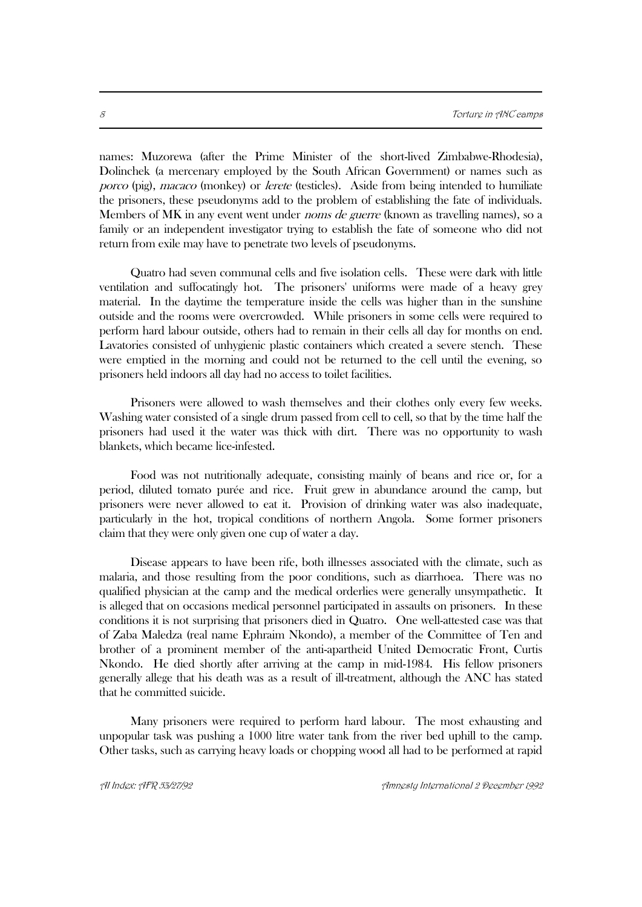names: Muzorewa (after the Prime Minister of the short-lived Zimbabwe-Rhodesia), Dolinchek (a mercenary employed by the South African Government) or names such as porco (pig), *macaco* (monkey) or *lerete* (testicles). Aside from being intended to humiliate the prisoners, these pseudonyms add to the problem of establishing the fate of individuals. Members of MK in any event went under *noms de guerre* (known as travelling names), so a family or an independent investigator trying to establish the fate of someone who did not return from exile may have to penetrate two levels of pseudonyms.

Quatro had seven communal cells and five isolation cells. These were dark with little ventilation and suffocatingly hot. The prisoners' uniforms were made of a heavy grey material. In the daytime the temperature inside the cells was higher than in the sunshine outside and the rooms were overcrowded. While prisoners in some cells were required to perform hard labour outside, others had to remain in their cells all day for months on end. Lavatories consisted of unhygienic plastic containers which created a severe stench. These were emptied in the morning and could not be returned to the cell until the evening, so prisoners held indoors all day had no access to toilet facilities.

Prisoners were allowed to wash themselves and their clothes only every few weeks. Washing water consisted of a single drum passed from cell to cell, so that by the time half the prisoners had used it the water was thick with dirt. There was no opportunity to wash blankets, which became lice-infested.

Food was not nutritionally adequate, consisting mainly of beans and rice or, for a period, diluted tomato purée and rice. Fruit grew in abundance around the camp, but prisoners were never allowed to eat it. Provision of drinking water was also inadequate, particularly in the hot, tropical conditions of northern Angola. Some former prisoners claim that they were only given one cup of water a day.

Disease appears to have been rife, both illnesses associated with the climate, such as malaria, and those resulting from the poor conditions, such as diarrhoea. There was no qualified physician at the camp and the medical orderlies were generally unsympathetic. It is alleged that on occasions medical personnel participated in assaults on prisoners. In these conditions it is not surprising that prisoners died in Quatro. One well-attested case was that of Zaba Maledza (real name Ephraim Nkondo), a member of the Committee of Ten and brother of a prominent member of the anti-apartheid United Democratic Front, Curtis Nkondo. He died shortly after arriving at the camp in mid-1984. His fellow prisoners generally allege that his death was as a result of ill-treatment, although the ANC has stated that he committed suicide.

Many prisoners were required to perform hard labour. The most exhausting and unpopular task was pushing a 1000 litre water tank from the river bed uphill to the camp. Other tasks, such as carrying heavy loads or chopping wood all had to be performed at rapid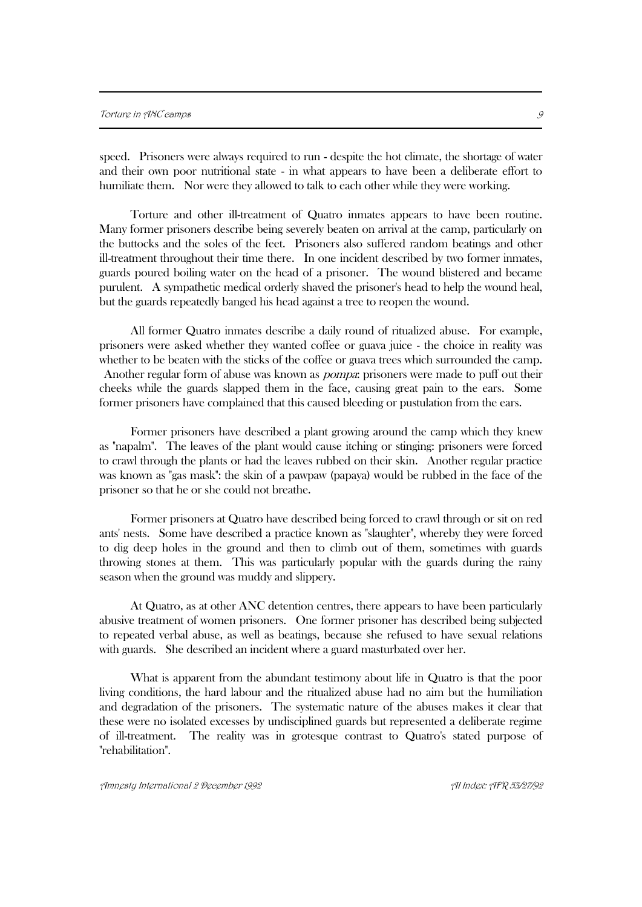speed. Prisoners were always required to run - despite the hot climate, the shortage of water and their own poor nutritional state - in what appears to have been a deliberate effort to humiliate them. Nor were they allowed to talk to each other while they were working.

Torture and other ill-treatment of Quatro inmates appears to have been routine. Many former prisoners describe being severely beaten on arrival at the camp, particularly on the buttocks and the soles of the feet. Prisoners also suffered random beatings and other ill-treatment throughout their time there. In one incident described by two former inmates, guards poured boiling water on the head of a prisoner. The wound blistered and became purulent. A sympathetic medical orderly shaved the prisoner's head to help the wound heal, but the guards repeatedly banged his head against a tree to reopen the wound.

All former Quatro inmates describe a daily round of ritualized abuse. For example, prisoners were asked whether they wanted coffee or guava juice - the choice in reality was whether to be beaten with the sticks of the coffee or guava trees which surrounded the camp. Another regular form of abuse was known as *pompa*: prisoners were made to puff out their cheeks while the guards slapped them in the face, causing great pain to the ears. Some former prisoners have complained that this caused bleeding or pustulation from the ears.

Former prisoners have described a plant growing around the camp which they knew as "napalm". The leaves of the plant would cause itching or stinging: prisoners were forced to crawl through the plants or had the leaves rubbed on their skin. Another regular practice was known as "gas mask": the skin of a pawpaw (papaya) would be rubbed in the face of the prisoner so that he or she could not breathe.

Former prisoners at Quatro have described being forced to crawl through or sit on red ants' nests. Some have described a practice known as "slaughter", whereby they were forced to dig deep holes in the ground and then to climb out of them, sometimes with guards throwing stones at them. This was particularly popular with the guards during the rainy season when the ground was muddy and slippery.

At Quatro, as at other ANC detention centres, there appears to have been particularly abusive treatment of women prisoners. One former prisoner has described being subjected to repeated verbal abuse, as well as beatings, because she refused to have sexual relations with guards. She described an incident where a guard masturbated over her.

What is apparent from the abundant testimony about life in Quatro is that the poor living conditions, the hard labour and the ritualized abuse had no aim but the humiliation and degradation of the prisoners. The systematic nature of the abuses makes it clear that these were no isolated excesses by undisciplined guards but represented a deliberate regime of ill-treatment. The reality was in grotesque contrast to Quatro's stated purpose of "rehabilitation".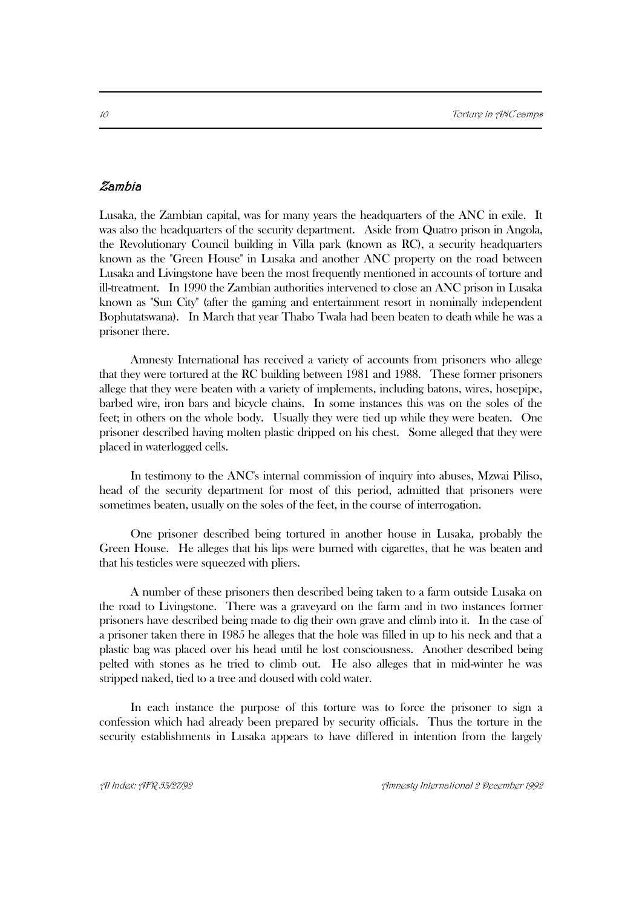# Zambia

Lusaka, the Zambian capital, was for many years the headquarters of the ANC in exile. It was also the headquarters of the security department. Aside from Quatro prison in Angola, the Revolutionary Council building in Villa park (known as RC), a security headquarters known as the "Green House" in Lusaka and another ANC property on the road between Lusaka and Livingstone have been the most frequently mentioned in accounts of torture and ill-treatment. In 1990 the Zambian authorities intervened to close an ANC prison in Lusaka known as "Sun City" (after the gaming and entertainment resort in nominally independent Bophutatswana). In March that year Thabo Twala had been beaten to death while he was a prisoner there.

Amnesty International has received a variety of accounts from prisoners who allege that they were tortured at the RC building between 1981 and 1988. These former prisoners allege that they were beaten with a variety of implements, including batons, wires, hosepipe, barbed wire, iron bars and bicycle chains. In some instances this was on the soles of the feet; in others on the whole body. Usually they were tied up while they were beaten. One prisoner described having molten plastic dripped on his chest. Some alleged that they were placed in waterlogged cells.

In testimony to the ANC's internal commission of inquiry into abuses, Mzwai Piliso, head of the security department for most of this period, admitted that prisoners were sometimes beaten, usually on the soles of the feet, in the course of interrogation.

One prisoner described being tortured in another house in Lusaka, probably the Green House. He alleges that his lips were burned with cigarettes, that he was beaten and that his testicles were squeezed with pliers.

A number of these prisoners then described being taken to a farm outside Lusaka on the road to Livingstone. There was a graveyard on the farm and in two instances former prisoners have described being made to dig their own grave and climb into it. In the case of a prisoner taken there in 1985 he alleges that the hole was filled in up to his neck and that a plastic bag was placed over his head until he lost consciousness. Another described being pelted with stones as he tried to climb out. He also alleges that in mid-winter he was stripped naked, tied to a tree and doused with cold water.

In each instance the purpose of this torture was to force the prisoner to sign a confession which had already been prepared by security officials. Thus the torture in the security establishments in Lusaka appears to have differed in intention from the largely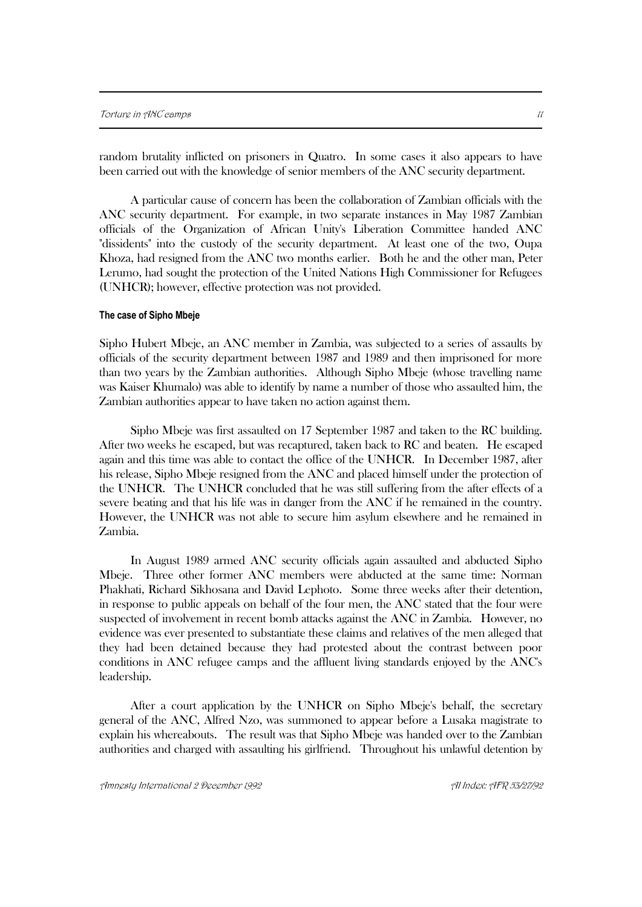random brutality inflicted on prisoners in Quatro. In some cases it also appears to have been carried out with the knowledge of senior members of the ANC security department.

A particular cause of concern has been the collaboration of Zambian officials with the ANC security department. For example, in two separate instances in May 1987 Zambian officials of the Organization of African Unity's Liberation Committee handed ANC "dissidents" into the custody of the security department. At least one of the two, Oupa Khoza, had resigned from the ANC two months earlier. Both he and the other man, Peter Lerumo, had sought the protection of the United Nations High Commissioner for Refugees (UNHCR); however, effective protection was not provided.

#### **The case of Sipho Mbeje**

Sipho Hubert Mbeje, an ANC member in Zambia, was subjected to a series of assaults by officials of the security department between 1987 and 1989 and then imprisoned for more than two years by the Zambian authorities. Although Sipho Mbeje (whose travelling name was Kaiser Khumalo) was able to identify by name a number of those who assaulted him, the Zambian authorities appear to have taken no action against them.

Sipho Mbeje was first assaulted on 17 September 1987 and taken to the RC building. After two weeks he escaped, but was recaptured, taken back to RC and beaten. He escaped again and this time was able to contact the office of the UNHCR. In December 1987, after his release, Sipho Mbeje resigned from the ANC and placed himself under the protection of the UNHCR. The UNHCR concluded that he was still suffering from the after effects of a severe beating and that his life was in danger from the ANC if he remained in the country. However, the UNHCR was not able to secure him asylum elsewhere and he remained in Zambia.

In August 1989 armed ANC security officials again assaulted and abducted Sipho Mbeje. Three other former ANC members were abducted at the same time: Norman Phakhati, Richard Sikhosana and David Lephoto. Some three weeks after their detention, in response to public appeals on behalf of the four men, the ANC stated that the four were suspected of involvement in recent bomb attacks against the ANC in Zambia. However, no evidence was ever presented to substantiate these claims and relatives of the men alleged that they had been detained because they had protested about the contrast between poor conditions in ANC refugee camps and the affluent living standards enjoyed by the ANC's leadership.

After a court application by the UNHCR on Sipho Mbeje's behalf, the secretary general of the ANC, Alfred Nzo, was summoned to appear before a Lusaka magistrate to explain his whereabouts. The result was that Sipho Mbeje was handed over to the Zambian authorities and charged with assaulting his girlfriend. Throughout his unlawful detention by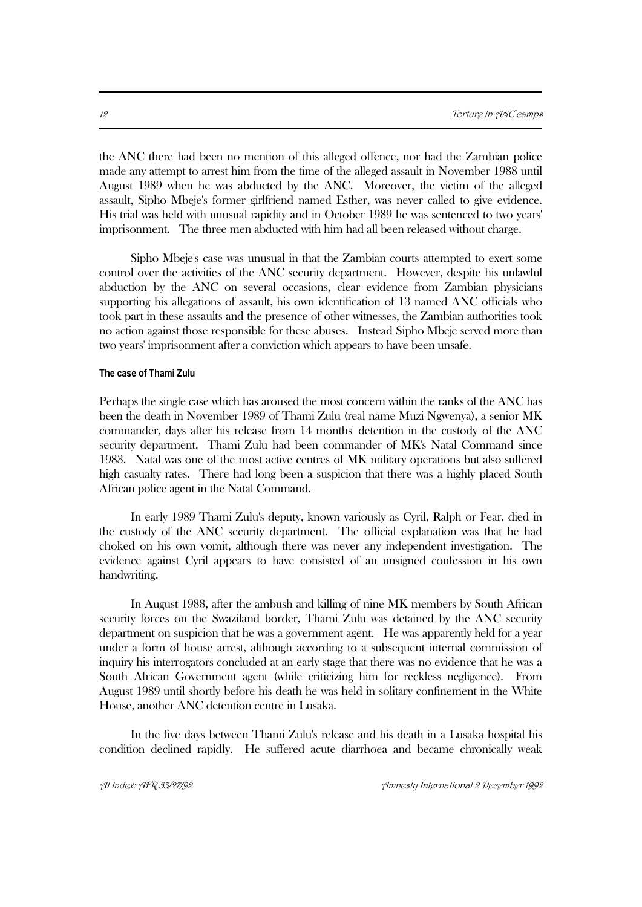the ANC there had been no mention of this alleged offence, nor had the Zambian police made any attempt to arrest him from the time of the alleged assault in November 1988 until August 1989 when he was abducted by the ANC. Moreover, the victim of the alleged assault, Sipho Mbeje's former girlfriend named Esther, was never called to give evidence. His trial was held with unusual rapidity and in October 1989 he was sentenced to two years' imprisonment. The three men abducted with him had all been released without charge.

Sipho Mbeje's case was unusual in that the Zambian courts attempted to exert some control over the activities of the ANC security department. However, despite his unlawful abduction by the ANC on several occasions, clear evidence from Zambian physicians supporting his allegations of assault, his own identification of 13 named ANC officials who took part in these assaults and the presence of other witnesses, the Zambian authorities took no action against those responsible for these abuses. Instead Sipho Mbeje served more than two years' imprisonment after a conviction which appears to have been unsafe.

#### **The case of Thami Zulu**

Perhaps the single case which has aroused the most concern within the ranks of the ANC has been the death in November 1989 of Thami Zulu (real name Muzi Ngwenya), a senior MK commander, days after his release from 14 months' detention in the custody of the ANC security department. Thami Zulu had been commander of MK's Natal Command since 1983. Natal was one of the most active centres of MK military operations but also suffered high casualty rates. There had long been a suspicion that there was a highly placed South African police agent in the Natal Command.

In early 1989 Thami Zulu's deputy, known variously as Cyril, Ralph or Fear, died in the custody of the ANC security department. The official explanation was that he had choked on his own vomit, although there was never any independent investigation. The evidence against Cyril appears to have consisted of an unsigned confession in his own handwriting.

In August 1988, after the ambush and killing of nine MK members by South African security forces on the Swaziland border, Thami Zulu was detained by the ANC security department on suspicion that he was a government agent. He was apparently held for a year under a form of house arrest, although according to a subsequent internal commission of inquiry his interrogators concluded at an early stage that there was no evidence that he was a South African Government agent (while criticizing him for reckless negligence). From August 1989 until shortly before his death he was held in solitary confinement in the White House, another ANC detention centre in Lusaka.

In the five days between Thami Zulu's release and his death in a Lusaka hospital his condition declined rapidly. He suffered acute diarrhoea and became chronically weak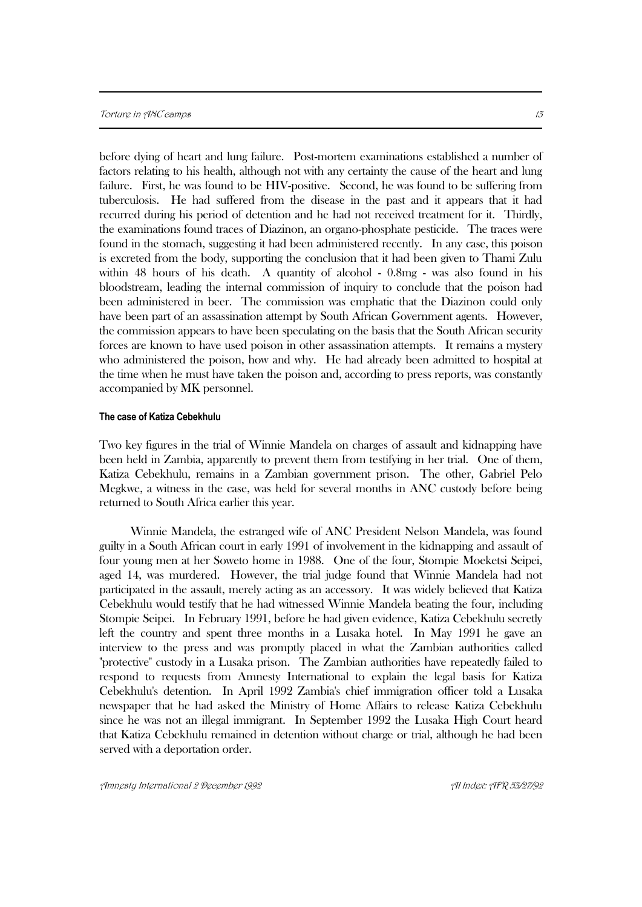before dying of heart and lung failure. Post-mortem examinations established a number of factors relating to his health, although not with any certainty the cause of the heart and lung failure. First, he was found to be HIV-positive. Second, he was found to be suffering from tuberculosis. He had suffered from the disease in the past and it appears that it had recurred during his period of detention and he had not received treatment for it. Thirdly, the examinations found traces of Diazinon, an organo-phosphate pesticide. The traces were found in the stomach, suggesting it had been administered recently. In any case, this poison is excreted from the body, supporting the conclusion that it had been given to Thami Zulu within 48 hours of his death. A quantity of alcohol - 0.8mg - was also found in his bloodstream, leading the internal commission of inquiry to conclude that the poison had been administered in beer. The commission was emphatic that the Diazinon could only have been part of an assassination attempt by South African Government agents. However, the commission appears to have been speculating on the basis that the South African security forces are known to have used poison in other assassination attempts. It remains a mystery who administered the poison, how and why. He had already been admitted to hospital at the time when he must have taken the poison and, according to press reports, was constantly accompanied by MK personnel.

#### **The case of Katiza Cebekhulu**

Two key figures in the trial of Winnie Mandela on charges of assault and kidnapping have been held in Zambia, apparently to prevent them from testifying in her trial. One of them, Katiza Cebekhulu, remains in a Zambian government prison. The other, Gabriel Pelo Megkwe, a witness in the case, was held for several months in ANC custody before being returned to South Africa earlier this year.

Winnie Mandela, the estranged wife of ANC President Nelson Mandela, was found guilty in a South African court in early 1991 of involvement in the kidnapping and assault of four young men at her Soweto home in 1988. One of the four, Stompie Moeketsi Seipei, aged 14, was murdered. However, the trial judge found that Winnie Mandela had not participated in the assault, merely acting as an accessory. It was widely believed that Katiza Cebekhulu would testify that he had witnessed Winnie Mandela beating the four, including Stompie Seipei. In February 1991, before he had given evidence, Katiza Cebekhulu secretly left the country and spent three months in a Lusaka hotel. In May 1991 he gave an interview to the press and was promptly placed in what the Zambian authorities called "protective" custody in a Lusaka prison. The Zambian authorities have repeatedly failed to respond to requests from Amnesty International to explain the legal basis for Katiza Cebekhulu's detention. In April 1992 Zambia's chief immigration officer told a Lusaka newspaper that he had asked the Ministry of Home Affairs to release Katiza Cebekhulu since he was not an illegal immigrant. In September 1992 the Lusaka High Court heard that Katiza Cebekhulu remained in detention without charge or trial, although he had been served with a deportation order.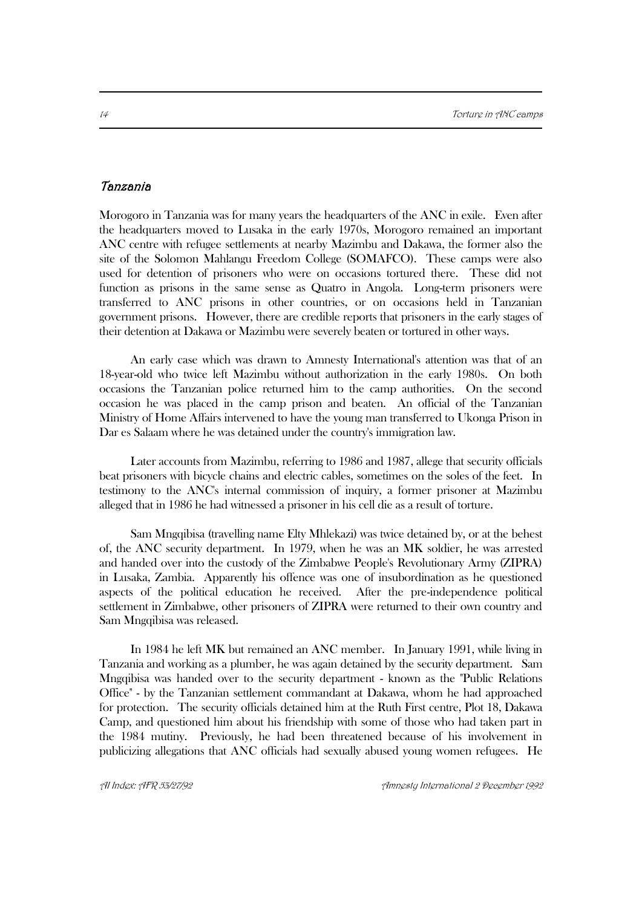# Tanzania

Morogoro in Tanzania was for many years the headquarters of the ANC in exile. Even after the headquarters moved to Lusaka in the early 1970s, Morogoro remained an important ANC centre with refugee settlements at nearby Mazimbu and Dakawa, the former also the site of the Solomon Mahlangu Freedom College (SOMAFCO). These camps were also used for detention of prisoners who were on occasions tortured there. These did not function as prisons in the same sense as Quatro in Angola. Long-term prisoners were transferred to ANC prisons in other countries, or on occasions held in Tanzanian government prisons. However, there are credible reports that prisoners in the early stages of their detention at Dakawa or Mazimbu were severely beaten or tortured in other ways.

An early case which was drawn to Amnesty International's attention was that of an 18-year-old who twice left Mazimbu without authorization in the early 1980s. On both occasions the Tanzanian police returned him to the camp authorities. On the second occasion he was placed in the camp prison and beaten. An official of the Tanzanian Ministry of Home Affairs intervened to have the young man transferred to Ukonga Prison in Dar es Salaam where he was detained under the country's immigration law.

Later accounts from Mazimbu, referring to 1986 and 1987, allege that security officials beat prisoners with bicycle chains and electric cables, sometimes on the soles of the feet. In testimony to the ANC's internal commission of inquiry, a former prisoner at Mazimbu alleged that in 1986 he had witnessed a prisoner in his cell die as a result of torture.

Sam Mngqibisa (travelling name Elty Mhlekazi) was twice detained by, or at the behest of, the ANC security department. In 1979, when he was an MK soldier, he was arrested and handed over into the custody of the Zimbabwe People's Revolutionary Army (ZIPRA) in Lusaka, Zambia. Apparently his offence was one of insubordination as he questioned aspects of the political education he received. After the pre-independence political settlement in Zimbabwe, other prisoners of ZIPRA were returned to their own country and Sam Mngqibisa was released.

In 1984 he left MK but remained an ANC member. In January 1991, while living in Tanzania and working as a plumber, he was again detained by the security department. Sam Mngqibisa was handed over to the security department - known as the "Public Relations Office" - by the Tanzanian settlement commandant at Dakawa, whom he had approached for protection. The security officials detained him at the Ruth First centre, Plot 18, Dakawa Camp, and questioned him about his friendship with some of those who had taken part in the 1984 mutiny. Previously, he had been threatened because of his involvement in publicizing allegations that ANC officials had sexually abused young women refugees. He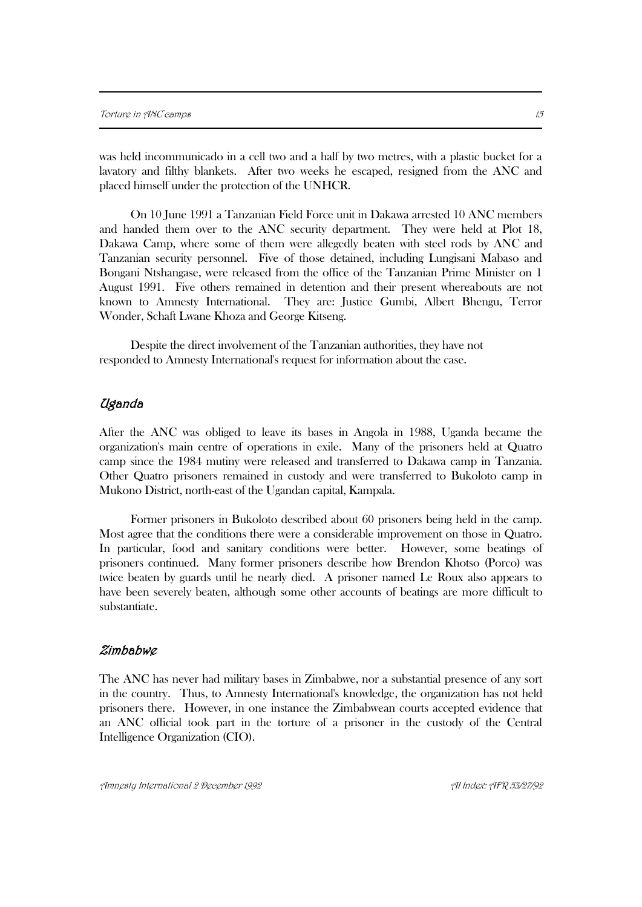was held incommunicado in a cell two and a half by two metres, with a plastic bucket for a lavatory and filthy blankets. After two weeks he escaped, resigned from the ANC and placed himself under the protection of the UNHCR.

On 10 June 1991 a Tanzanian Field Force unit in Dakawa arrested 10 ANC members and handed them over to the ANC security department. They were held at Plot 18, Dakawa Camp, where some of them were allegedly beaten with steel rods by ANC and Tanzanian security personnel. Five of those detained, including Lungisani Mabaso and Bongani Ntshangase, were released from the office of the Tanzanian Prime Minister on 1 August 1991. Five others remained in detention and their present whereabouts are not known to Amnesty International. They are: Justice Gumbi, Albert Bhengu, Terror Wonder, Schaft Lwane Khoza and George Kitseng.

Despite the direct involvement of the Tanzanian authorities, they have not responded to Amnesty International's request for information about the case.

## Uganda

After the ANC was obliged to leave its bases in Angola in 1988, Uganda became the organization's main centre of operations in exile. Many of the prisoners held at Quatro camp since the 1984 mutiny were released and transferred to Dakawa camp in Tanzania. Other Quatro prisoners remained in custody and were transferred to Bukoloto camp in Mukono District, north-east of the Ugandan capital, Kampala.

Former prisoners in Bukoloto described about 60 prisoners being held in the camp. Most agree that the conditions there were a considerable improvement on those in Quatro. In particular, food and sanitary conditions were better. However, some beatings of prisoners continued. Many former prisoners describe how Brendon Khotso (Porco) was twice beaten by guards until he nearly died. A prisoner named Le Roux also appears to have been severely beaten, although some other accounts of beatings are more difficult to substantiate.

#### Zimbabwe

The ANC has never had military bases in Zimbabwe, nor a substantial presence of any sort in the country. Thus, to Amnesty International's knowledge, the organization has not held prisoners there. However, in one instance the Zimbabwean courts accepted evidence that an ANC official took part in the torture of a prisoner in the custody of the Central Intelligence Organization (CIO).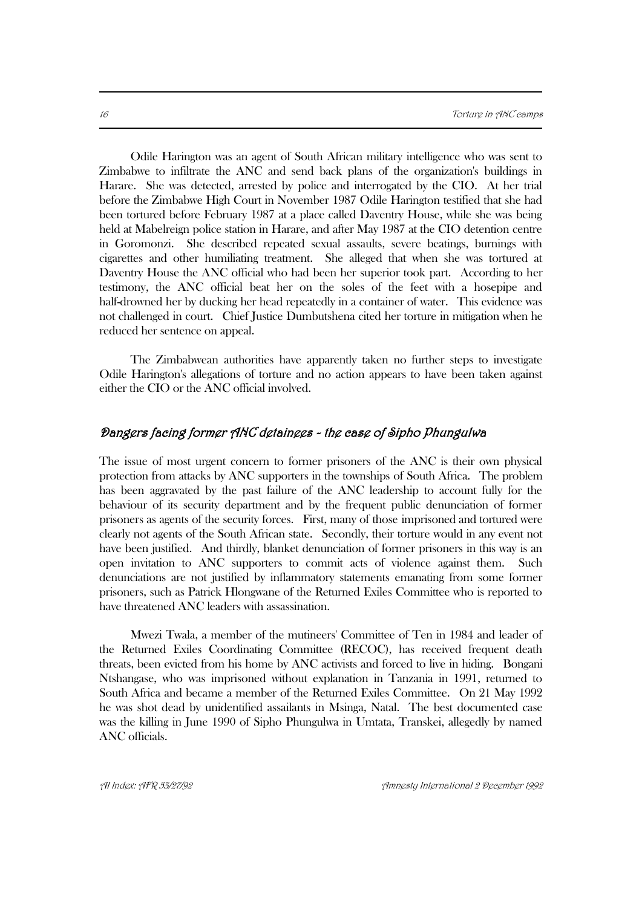Odile Harington was an agent of South African military intelligence who was sent to Zimbabwe to infiltrate the ANC and send back plans of the organization's buildings in Harare. She was detected, arrested by police and interrogated by the CIO. At her trial before the Zimbabwe High Court in November 1987 Odile Harington testified that she had been tortured before February 1987 at a place called Daventry House, while she was being held at Mabelreign police station in Harare, and after May 1987 at the CIO detention centre in Goromonzi. She described repeated sexual assaults, severe beatings, burnings with cigarettes and other humiliating treatment. She alleged that when she was tortured at Daventry House the ANC official who had been her superior took part. According to her testimony, the ANC official beat her on the soles of the feet with a hosepipe and half-drowned her by ducking her head repeatedly in a container of water. This evidence was not challenged in court. Chief Justice Dumbutshena cited her torture in mitigation when he reduced her sentence on appeal.

The Zimbabwean authorities have apparently taken no further steps to investigate Odile Harington's allegations of torture and no action appears to have been taken against either the CIO or the ANC official involved.

## Dangers facing former ANC detainees - the case of Sipho Phungulwa

The issue of most urgent concern to former prisoners of the ANC is their own physical protection from attacks by ANC supporters in the townships of South Africa. The problem has been aggravated by the past failure of the ANC leadership to account fully for the behaviour of its security department and by the frequent public denunciation of former prisoners as agents of the security forces. First, many of those imprisoned and tortured were clearly not agents of the South African state. Secondly, their torture would in any event not have been justified. And thirdly, blanket denunciation of former prisoners in this way is an open invitation to ANC supporters to commit acts of violence against them. Such denunciations are not justified by inflammatory statements emanating from some former prisoners, such as Patrick Hlongwane of the Returned Exiles Committee who is reported to have threatened ANC leaders with assassination.

Mwezi Twala, a member of the mutineers' Committee of Ten in 1984 and leader of the Returned Exiles Coordinating Committee (RECOC), has received frequent death threats, been evicted from his home by ANC activists and forced to live in hiding. Bongani Ntshangase, who was imprisoned without explanation in Tanzania in 1991, returned to South Africa and became a member of the Returned Exiles Committee. On 21 May 1992 he was shot dead by unidentified assailants in Msinga, Natal. The best documented case was the killing in June 1990 of Sipho Phungulwa in Umtata, Transkei, allegedly by named ANC officials.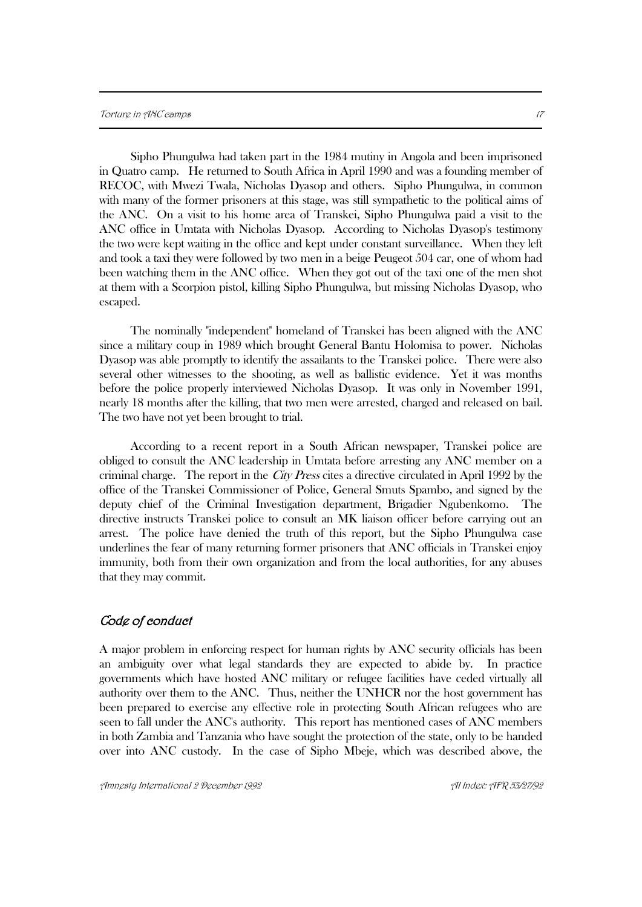Sipho Phungulwa had taken part in the 1984 mutiny in Angola and been imprisoned in Quatro camp. He returned to South Africa in April 1990 and was a founding member of RECOC, with Mwezi Twala, Nicholas Dyasop and others. Sipho Phungulwa, in common with many of the former prisoners at this stage, was still sympathetic to the political aims of the ANC. On a visit to his home area of Transkei, Sipho Phungulwa paid a visit to the ANC office in Umtata with Nicholas Dyasop. According to Nicholas Dyasop's testimony the two were kept waiting in the office and kept under constant surveillance. When they left and took a taxi they were followed by two men in a beige Peugeot 504 car, one of whom had been watching them in the ANC office. When they got out of the taxi one of the men shot at them with a Scorpion pistol, killing Sipho Phungulwa, but missing Nicholas Dyasop, who escaped.

The nominally "independent" homeland of Transkei has been aligned with the ANC since a military coup in 1989 which brought General Bantu Holomisa to power. Nicholas Dyasop was able promptly to identify the assailants to the Transkei police. There were also several other witnesses to the shooting, as well as ballistic evidence. Yet it was months before the police properly interviewed Nicholas Dyasop. It was only in November 1991, nearly 18 months after the killing, that two men were arrested, charged and released on bail. The two have not yet been brought to trial.

According to a recent report in a South African newspaper, Transkei police are obliged to consult the ANC leadership in Umtata before arresting any ANC member on a criminal charge. The report in the *City Press* cites a directive circulated in April 1992 by the office of the Transkei Commissioner of Police, General Smuts Spambo, and signed by the deputy chief of the Criminal Investigation department, Brigadier Ngubenkomo. The directive instructs Transkei police to consult an MK liaison officer before carrying out an arrest. The police have denied the truth of this report, but the Sipho Phungulwa case underlines the fear of many returning former prisoners that ANC officials in Transkei enjoy immunity, both from their own organization and from the local authorities, for any abuses that they may commit.

## Code of conduct

A major problem in enforcing respect for human rights by ANC security officials has been an ambiguity over what legal standards they are expected to abide by. In practice governments which have hosted ANC military or refugee facilities have ceded virtually all authority over them to the ANC. Thus, neither the UNHCR nor the host government has been prepared to exercise any effective role in protecting South African refugees who are seen to fall under the ANC's authority. This report has mentioned cases of ANC members in both Zambia and Tanzania who have sought the protection of the state, only to be handed over into ANC custody. In the case of Sipho Mbeje, which was described above, the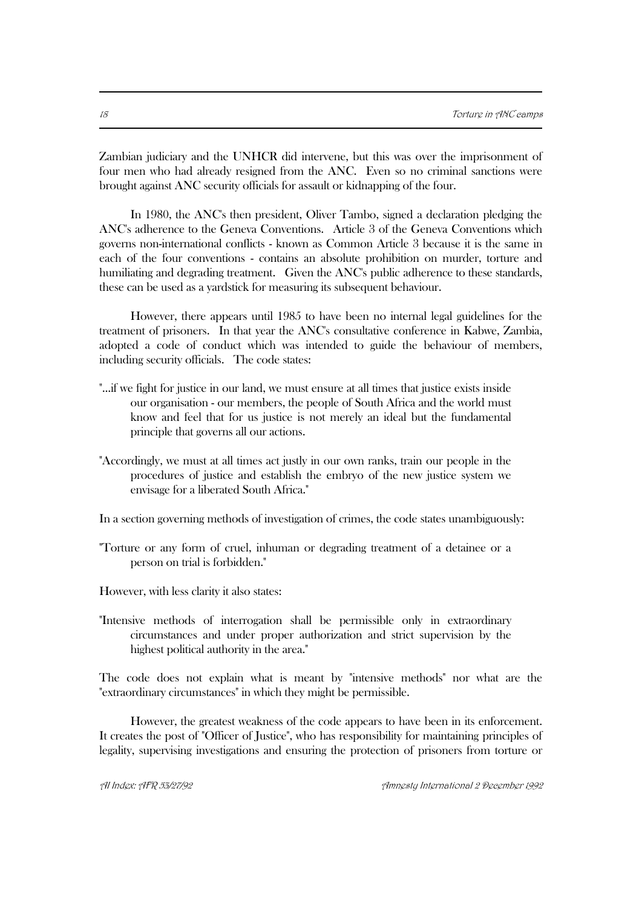Zambian judiciary and the UNHCR did intervene, but this was over the imprisonment of four men who had already resigned from the ANC. Even so no criminal sanctions were brought against ANC security officials for assault or kidnapping of the four.

In 1980, the ANC's then president, Oliver Tambo, signed a declaration pledging the ANC's adherence to the Geneva Conventions. Article 3 of the Geneva Conventions which governs non-international conflicts - known as Common Article 3 because it is the same in each of the four conventions - contains an absolute prohibition on murder, torture and humiliating and degrading treatment. Given the ANC's public adherence to these standards, these can be used as a yardstick for measuring its subsequent behaviour.

However, there appears until 1985 to have been no internal legal guidelines for the treatment of prisoners. In that year the ANC's consultative conference in Kabwe, Zambia, adopted a code of conduct which was intended to guide the behaviour of members, including security officials. The code states:

- "...if we fight for justice in our land, we must ensure at all times that justice exists inside our organisation - our members, the people of South Africa and the world must know and feel that for us justice is not merely an ideal but the fundamental principle that governs all our actions.
- "Accordingly, we must at all times act justly in our own ranks, train our people in the procedures of justice and establish the embryo of the new justice system we envisage for a liberated South Africa."

In a section governing methods of investigation of crimes, the code states unambiguously:

"Torture or any form of cruel, inhuman or degrading treatment of a detainee or a person on trial is forbidden."

However, with less clarity it also states:

"Intensive methods of interrogation shall be permissible only in extraordinary circumstances and under proper authorization and strict supervision by the highest political authority in the area."

The code does not explain what is meant by "intensive methods" nor what are the "extraordinary circumstances" in which they might be permissible.

However, the greatest weakness of the code appears to have been in its enforcement. It creates the post of "Officer of Justice", who has responsibility for maintaining principles of legality, supervising investigations and ensuring the protection of prisoners from torture or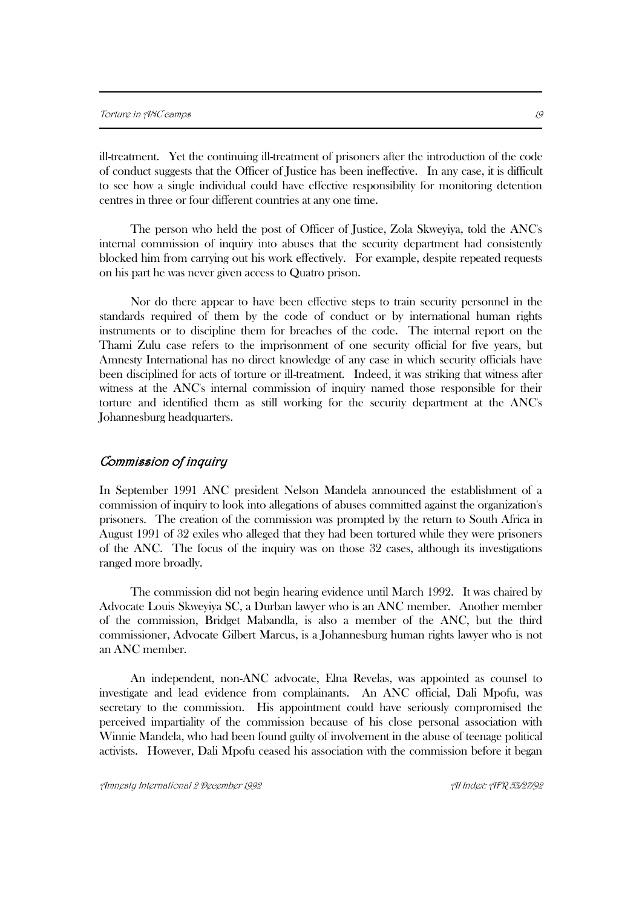ill-treatment. Yet the continuing ill-treatment of prisoners after the introduction of the code of conduct suggests that the Officer of Justice has been ineffective. In any case, it is difficult to see how a single individual could have effective responsibility for monitoring detention centres in three or four different countries at any one time.

The person who held the post of Officer of Justice, Zola Skweyiya, told the ANC's internal commission of inquiry into abuses that the security department had consistently blocked him from carrying out his work effectively. For example, despite repeated requests on his part he was never given access to Quatro prison.

Nor do there appear to have been effective steps to train security personnel in the standards required of them by the code of conduct or by international human rights instruments or to discipline them for breaches of the code. The internal report on the Thami Zulu case refers to the imprisonment of one security official for five years, but Amnesty International has no direct knowledge of any case in which security officials have been disciplined for acts of torture or ill-treatment. Indeed, it was striking that witness after witness at the ANC's internal commission of inquiry named those responsible for their torture and identified them as still working for the security department at the ANC's Johannesburg headquarters.

## Commission of inquiry

In September 1991 ANC president Nelson Mandela announced the establishment of a commission of inquiry to look into allegations of abuses committed against the organization's prisoners. The creation of the commission was prompted by the return to South Africa in August 1991 of 32 exiles who alleged that they had been tortured while they were prisoners of the ANC. The focus of the inquiry was on those 32 cases, although its investigations ranged more broadly.

The commission did not begin hearing evidence until March 1992. It was chaired by Advocate Louis Skweyiya SC, a Durban lawyer who is an ANC member. Another member of the commission, Bridget Mabandla, is also a member of the ANC, but the third commissioner, Advocate Gilbert Marcus, is a Johannesburg human rights lawyer who is not an ANC member.

An independent, non-ANC advocate, Elna Revelas, was appointed as counsel to investigate and lead evidence from complainants. An ANC official, Dali Mpofu, was secretary to the commission. His appointment could have seriously compromised the perceived impartiality of the commission because of his close personal association with Winnie Mandela, who had been found guilty of involvement in the abuse of teenage political activists. However, Dali Mpofu ceased his association with the commission before it began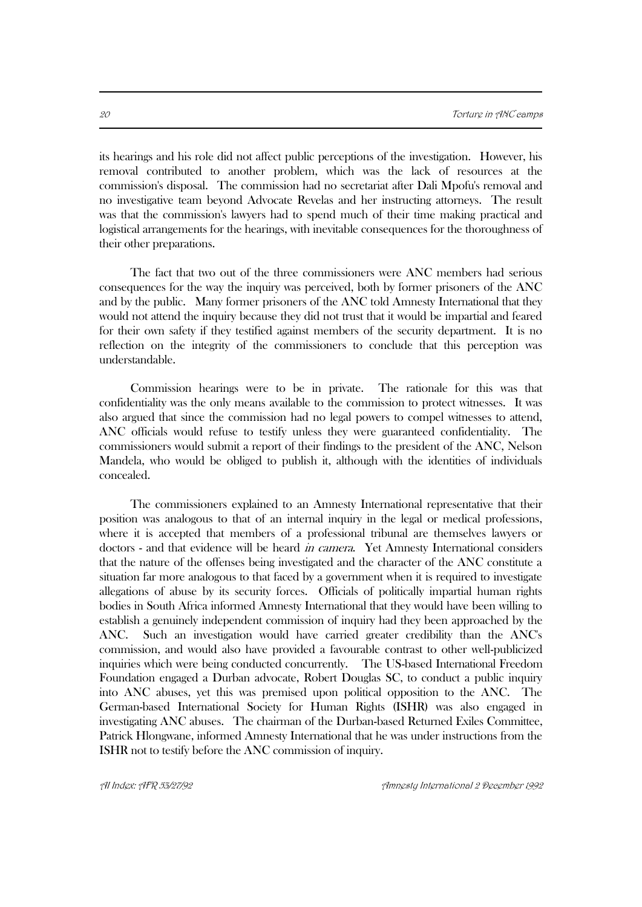its hearings and his role did not affect public perceptions of the investigation. However, his removal contributed to another problem, which was the lack of resources at the commission's disposal. The commission had no secretariat after Dali Mpofu's removal and no investigative team beyond Advocate Revelas and her instructing attorneys. The result was that the commission's lawyers had to spend much of their time making practical and logistical arrangements for the hearings, with inevitable consequences for the thoroughness of their other preparations.

The fact that two out of the three commissioners were ANC members had serious consequences for the way the inquiry was perceived, both by former prisoners of the ANC and by the public. Many former prisoners of the ANC told Amnesty International that they would not attend the inquiry because they did not trust that it would be impartial and feared for their own safety if they testified against members of the security department. It is no reflection on the integrity of the commissioners to conclude that this perception was understandable.

Commission hearings were to be in private. The rationale for this was that confidentiality was the only means available to the commission to protect witnesses. It was also argued that since the commission had no legal powers to compel witnesses to attend, ANC officials would refuse to testify unless they were guaranteed confidentiality. The commissioners would submit a report of their findings to the president of the ANC, Nelson Mandela, who would be obliged to publish it, although with the identities of individuals concealed.

The commissioners explained to an Amnesty International representative that their position was analogous to that of an internal inquiry in the legal or medical professions, where it is accepted that members of a professional tribunal are themselves lawyers or doctors - and that evidence will be heard *in camera*. Yet Amnesty International considers that the nature of the offenses being investigated and the character of the ANC constitute a situation far more analogous to that faced by a government when it is required to investigate allegations of abuse by its security forces. Officials of politically impartial human rights bodies in South Africa informed Amnesty International that they would have been willing to establish a genuinely independent commission of inquiry had they been approached by the ANC. Such an investigation would have carried greater credibility than the ANC's commission, and would also have provided a favourable contrast to other well-publicized inquiries which were being conducted concurrently. The US-based International Freedom Foundation engaged a Durban advocate, Robert Douglas SC, to conduct a public inquiry into ANC abuses, yet this was premised upon political opposition to the ANC. The German-based International Society for Human Rights (ISHR) was also engaged in investigating ANC abuses. The chairman of the Durban-based Returned Exiles Committee, Patrick Hlongwane, informed Amnesty International that he was under instructions from the ISHR not to testify before the ANC commission of inquiry.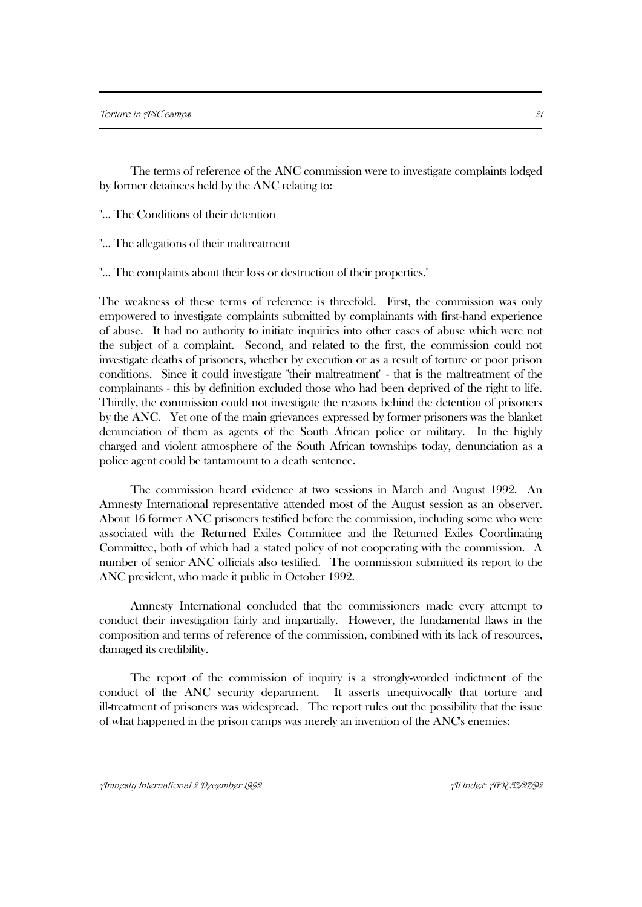The terms of reference of the ANC commission were to investigate complaints lodged by former detainees held by the ANC relating to:

"... The Conditions of their detention

"... The allegations of their maltreatment

"... The complaints about their loss or destruction of their properties."

The weakness of these terms of reference is threefold. First, the commission was only empowered to investigate complaints submitted by complainants with first-hand experience of abuse. It had no authority to initiate inquiries into other cases of abuse which were not the subject of a complaint. Second, and related to the first, the commission could not investigate deaths of prisoners, whether by execution or as a result of torture or poor prison conditions. Since it could investigate "their maltreatment" - that is the maltreatment of the complainants - this by definition excluded those who had been deprived of the right to life. Thirdly, the commission could not investigate the reasons behind the detention of prisoners by the ANC. Yet one of the main grievances expressed by former prisoners was the blanket denunciation of them as agents of the South African police or military. In the highly charged and violent atmosphere of the South African townships today, denunciation as a police agent could be tantamount to a death sentence.

The commission heard evidence at two sessions in March and August 1992. An Amnesty International representative attended most of the August session as an observer. About 16 former ANC prisoners testified before the commission, including some who were associated with the Returned Exiles Committee and the Returned Exiles Coordinating Committee, both of which had a stated policy of not cooperating with the commission. A number of senior ANC officials also testified. The commission submitted its report to the ANC president, who made it public in October 1992.

Amnesty International concluded that the commissioners made every attempt to conduct their investigation fairly and impartially. However, the fundamental flaws in the composition and terms of reference of the commission, combined with its lack of resources, damaged its credibility.

The report of the commission of inquiry is a strongly-worded indictment of the conduct of the ANC security department. It asserts unequivocally that torture and ill-treatment of prisoners was widespread. The report rules out the possibility that the issue of what happened in the prison camps was merely an invention of the ANC's enemies:

Amnesty International 2 December 1992 AI Index: AFR 53/27/92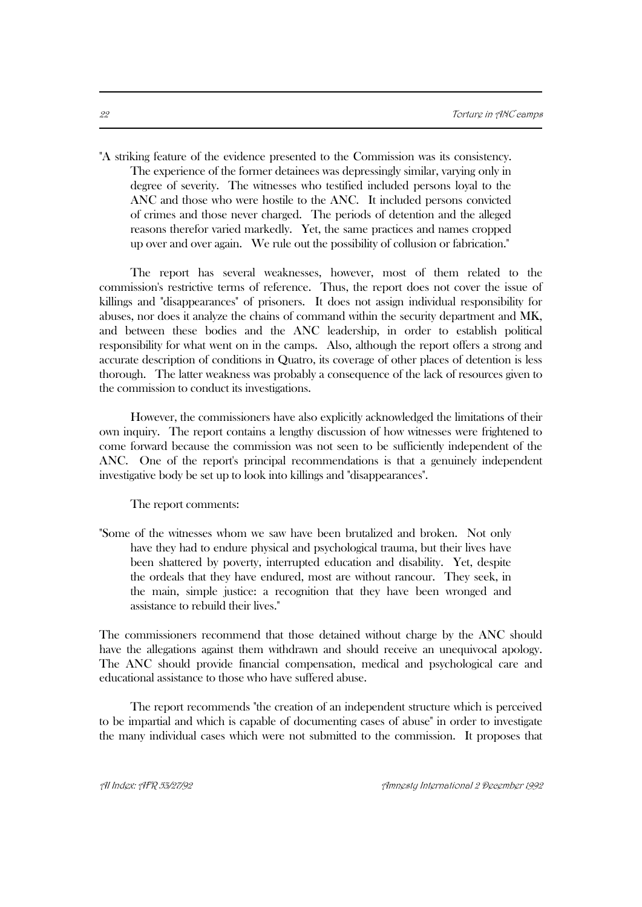"A striking feature of the evidence presented to the Commission was its consistency. The experience of the former detainees was depressingly similar, varying only in degree of severity. The witnesses who testified included persons loyal to the ANC and those who were hostile to the ANC. It included persons convicted of crimes and those never charged. The periods of detention and the alleged reasons therefor varied markedly. Yet, the same practices and names cropped up over and over again. We rule out the possibility of collusion or fabrication."

The report has several weaknesses, however, most of them related to the commission's restrictive terms of reference. Thus, the report does not cover the issue of killings and "disappearances" of prisoners. It does not assign individual responsibility for abuses, nor does it analyze the chains of command within the security department and MK, and between these bodies and the ANC leadership, in order to establish political responsibility for what went on in the camps. Also, although the report offers a strong and accurate description of conditions in Quatro, its coverage of other places of detention is less thorough. The latter weakness was probably a consequence of the lack of resources given to the commission to conduct its investigations.

However, the commissioners have also explicitly acknowledged the limitations of their own inquiry. The report contains a lengthy discussion of how witnesses were frightened to come forward because the commission was not seen to be sufficiently independent of the ANC. One of the report's principal recommendations is that a genuinely independent investigative body be set up to look into killings and "disappearances".

The report comments:

"Some of the witnesses whom we saw have been brutalized and broken. Not only have they had to endure physical and psychological trauma, but their lives have been shattered by poverty, interrupted education and disability. Yet, despite the ordeals that they have endured, most are without rancour. They seek, in the main, simple justice: a recognition that they have been wronged and assistance to rebuild their lives."

The commissioners recommend that those detained without charge by the ANC should have the allegations against them withdrawn and should receive an unequivocal apology. The ANC should provide financial compensation, medical and psychological care and educational assistance to those who have suffered abuse.

The report recommends "the creation of an independent structure which is perceived to be impartial and which is capable of documenting cases of abuse" in order to investigate the many individual cases which were not submitted to the commission. It proposes that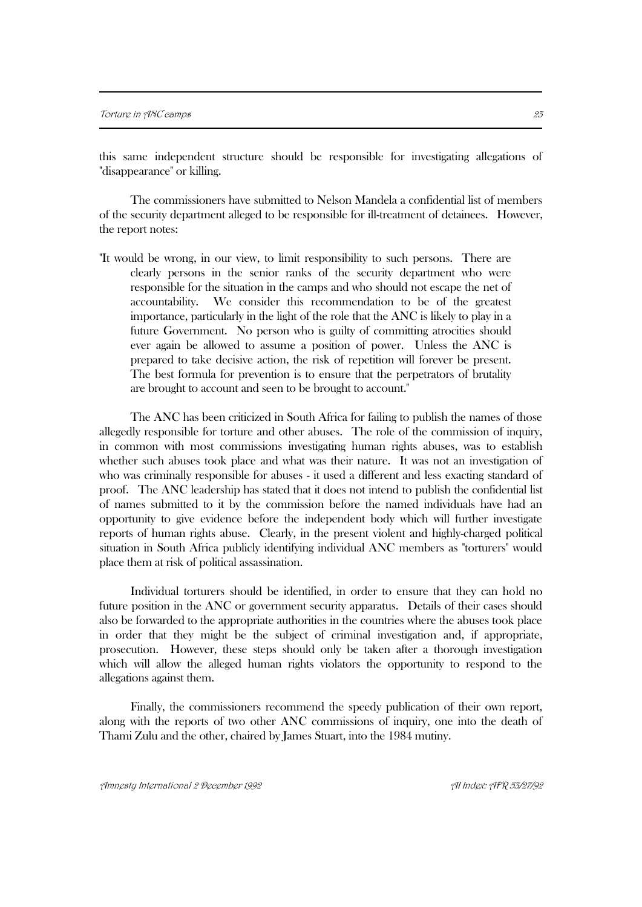this same independent structure should be responsible for investigating allegations of "disappearance" or killing.

The commissioners have submitted to Nelson Mandela a confidential list of members of the security department alleged to be responsible for ill-treatment of detainees. However, the report notes:

"It would be wrong, in our view, to limit responsibility to such persons. There are clearly persons in the senior ranks of the security department who were responsible for the situation in the camps and who should not escape the net of accountability. We consider this recommendation to be of the greatest importance, particularly in the light of the role that the ANC is likely to play in a future Government. No person who is guilty of committing atrocities should ever again be allowed to assume a position of power. Unless the ANC is prepared to take decisive action, the risk of repetition will forever be present. The best formula for prevention is to ensure that the perpetrators of brutality are brought to account and seen to be brought to account."

The ANC has been criticized in South Africa for failing to publish the names of those allegedly responsible for torture and other abuses. The role of the commission of inquiry, in common with most commissions investigating human rights abuses, was to establish whether such abuses took place and what was their nature. It was not an investigation of who was criminally responsible for abuses - it used a different and less exacting standard of proof. The ANC leadership has stated that it does not intend to publish the confidential list of names submitted to it by the commission before the named individuals have had an opportunity to give evidence before the independent body which will further investigate reports of human rights abuse. Clearly, in the present violent and highly-charged political situation in South Africa publicly identifying individual ANC members as "torturers" would place them at risk of political assassination.

Individual torturers should be identified, in order to ensure that they can hold no future position in the ANC or government security apparatus. Details of their cases should also be forwarded to the appropriate authorities in the countries where the abuses took place in order that they might be the subject of criminal investigation and, if appropriate, prosecution. However, these steps should only be taken after a thorough investigation which will allow the alleged human rights violators the opportunity to respond to the allegations against them.

Finally, the commissioners recommend the speedy publication of their own report, along with the reports of two other ANC commissions of inquiry, one into the death of Thami Zulu and the other, chaired by James Stuart, into the 1984 mutiny.